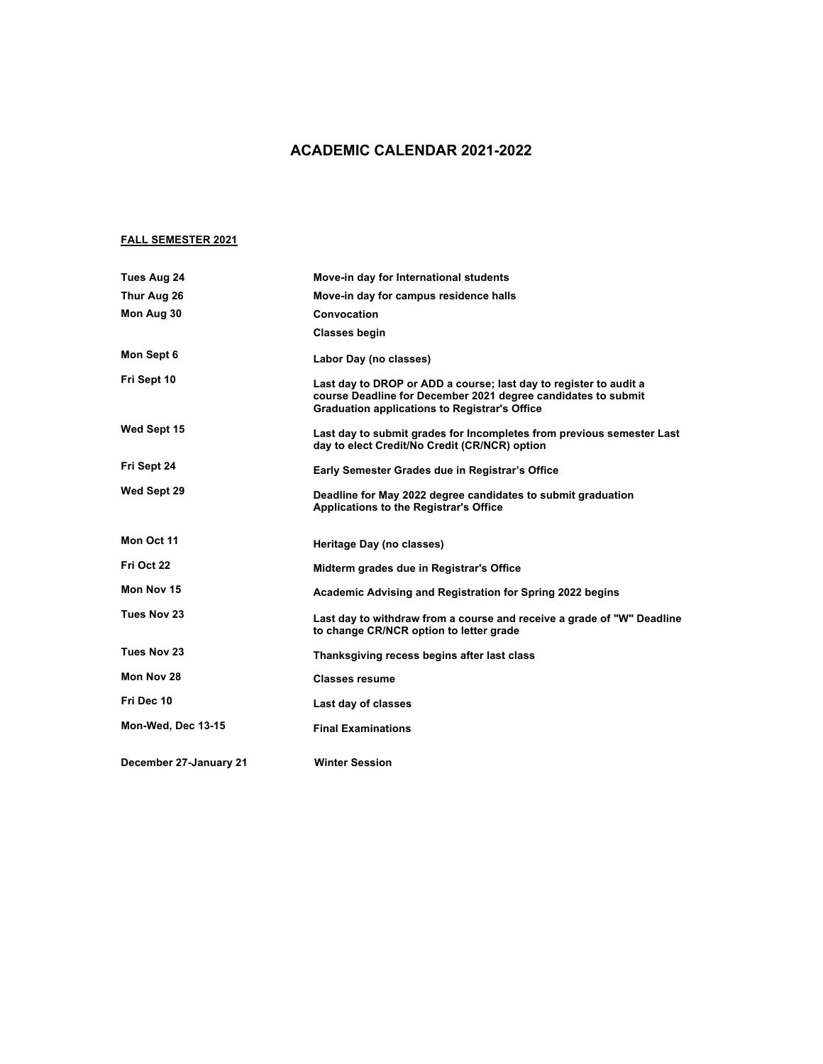## **ACADEMIC CALENDAR 2021-2022**

## **FALL SEMESTER 2021**

| Tues Aug 24            | Move-in day for International students                                                                                                                                                     |
|------------------------|--------------------------------------------------------------------------------------------------------------------------------------------------------------------------------------------|
| Thur Aug 26            | Move-in day for campus residence halls                                                                                                                                                     |
| Mon Aug 30             | Convocation                                                                                                                                                                                |
|                        | <b>Classes begin</b>                                                                                                                                                                       |
| Mon Sept 6             | Labor Day (no classes)                                                                                                                                                                     |
| Fri Sept 10            | Last day to DROP or ADD a course; last day to register to audit a<br>course Deadline for December 2021 degree candidates to submit<br><b>Graduation applications to Registrar's Office</b> |
| Wed Sept 15            | Last day to submit grades for Incompletes from previous semester Last<br>day to elect Credit/No Credit (CR/NCR) option                                                                     |
| Fri Sept 24            | Early Semester Grades due in Registrar's Office                                                                                                                                            |
| Wed Sept 29            | Deadline for May 2022 degree candidates to submit graduation<br><b>Applications to the Registrar's Office</b>                                                                              |
| Mon Oct 11             | Heritage Day (no classes)                                                                                                                                                                  |
| Fri Oct 22             | Midterm grades due in Registrar's Office                                                                                                                                                   |
| Mon Nov 15             | Academic Advising and Registration for Spring 2022 begins                                                                                                                                  |
| Tues Nov 23            | Last day to withdraw from a course and receive a grade of "W" Deadline<br>to change CR/NCR option to letter grade                                                                          |
| Tues Nov 23            | Thanksgiving recess begins after last class                                                                                                                                                |
| Mon Nov 28             | <b>Classes resume</b>                                                                                                                                                                      |
| Fri Dec 10             | Last day of classes                                                                                                                                                                        |
| Mon-Wed, Dec 13-15     | <b>Final Examinations</b>                                                                                                                                                                  |
| December 27-January 21 | <b>Winter Session</b>                                                                                                                                                                      |